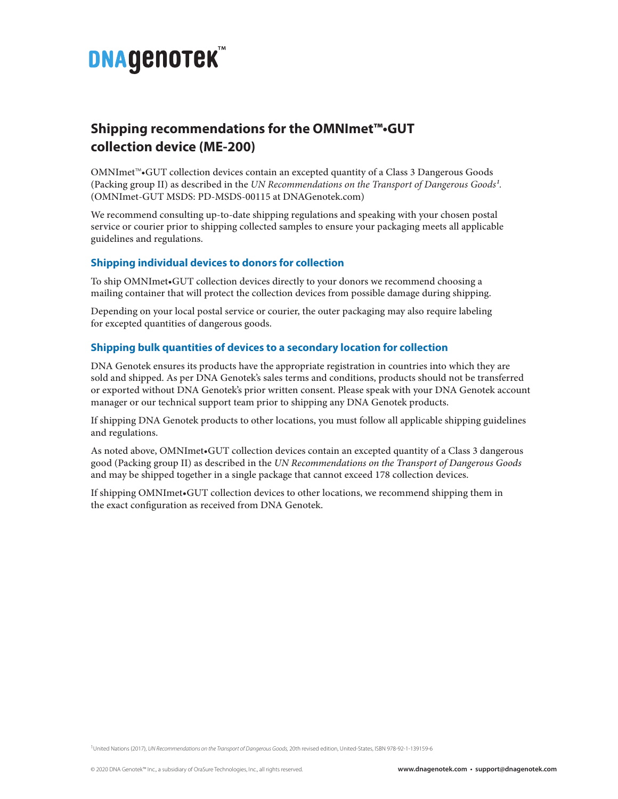# **DNAGENOTEK**

# **Shipping recommendations for the OMNImet™•GUT collection device (ME-200)**

OMNImet™•GUT collection devices contain an excepted quantity of a Class 3 Dangerous Goods (Packing group II) as described in the *UN Recommendations on the Transport of Dangerous Goods1.* (OMNImet-GUT MSDS: PD-MSDS-00115 at DNAGenotek.com)

We recommend consulting up-to-date shipping regulations and speaking with your chosen postal service or courier prior to shipping collected samples to ensure your packaging meets all applicable guidelines and regulations.

## **Shipping individual devices to donors for collection**

To ship OMNImet•GUT collection devices directly to your donors we recommend choosing a mailing container that will protect the collection devices from possible damage during shipping.

Depending on your local postal service or courier, the outer packaging may also require labeling for excepted quantities of dangerous goods.

## **Shipping bulk quantities of devices to a secondary location for collection**

DNA Genotek ensures its products have the appropriate registration in countries into which they are sold and shipped. As per DNA Genotek's sales terms and conditions, products should not be transferred or exported without DNA Genotek's prior written consent. Please speak with your DNA Genotek account manager or our technical support team prior to shipping any DNA Genotek products.

If shipping DNA Genotek products to other locations, you must follow all applicable shipping guidelines and regulations.

As noted above, OMNImet•GUT collection devices contain an excepted quantity of a Class 3 dangerous good (Packing group II) as described in the *UN Recommendations on the Transport of Dangerous Goods* and may be shipped together in a single package that cannot exceed 178 collection devices.

If shipping OMNImet•GUT collection devices to other locations, we recommend shipping them in the exact configuration as received from DNA Genotek.